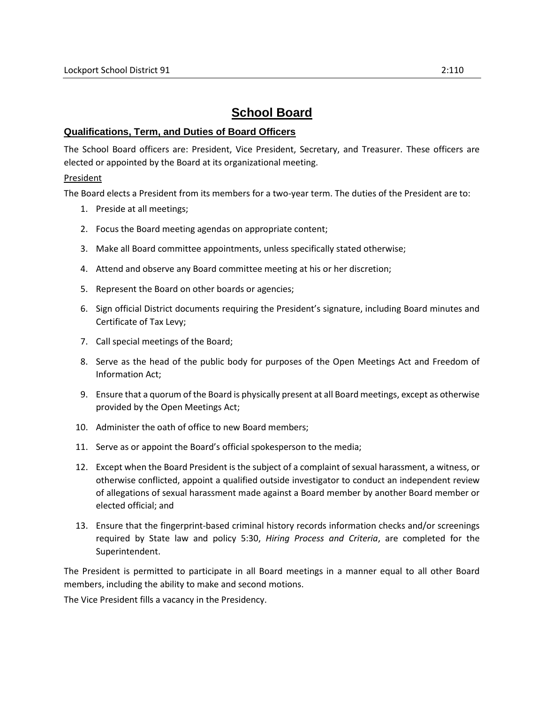# **School Board**

## **Qualifications, Term, and Duties of Board Officers**

The School Board officers are: President, Vice President, Secretary, and Treasurer. These officers are elected or appointed by the Board at its organizational meeting.

### President

The Board elects a President from its members for a two-year term. The duties of the President are to:

- 1. Preside at all meetings;
- 2. Focus the Board meeting agendas on appropriate content;
- 3. Make all Board committee appointments, unless specifically stated otherwise;
- 4. Attend and observe any Board committee meeting at his or her discretion;
- 5. Represent the Board on other boards or agencies;
- 6. Sign official District documents requiring the President's signature, including Board minutes and Certificate of Tax Levy;
- 7. Call special meetings of the Board;
- 8. Serve as the head of the public body for purposes of the Open Meetings Act and Freedom of Information Act;
- 9. Ensure that a quorum of the Board is physically present at all Board meetings, except as otherwise provided by the Open Meetings Act;
- 10. Administer the oath of office to new Board members;
- 11. Serve as or appoint the Board's official spokesperson to the media;
- 12. Except when the Board President is the subject of a complaint of sexual harassment, a witness, or otherwise conflicted, appoint a qualified outside investigator to conduct an independent review of allegations of sexual harassment made against a Board member by another Board member or elected official; and
- 13. Ensure that the fingerprint-based criminal history records information checks and/or screenings required by State law and policy 5:30, *Hiring Process and Criteria*, are completed for the Superintendent.

The President is permitted to participate in all Board meetings in a manner equal to all other Board members, including the ability to make and second motions.

The Vice President fills a vacancy in the Presidency.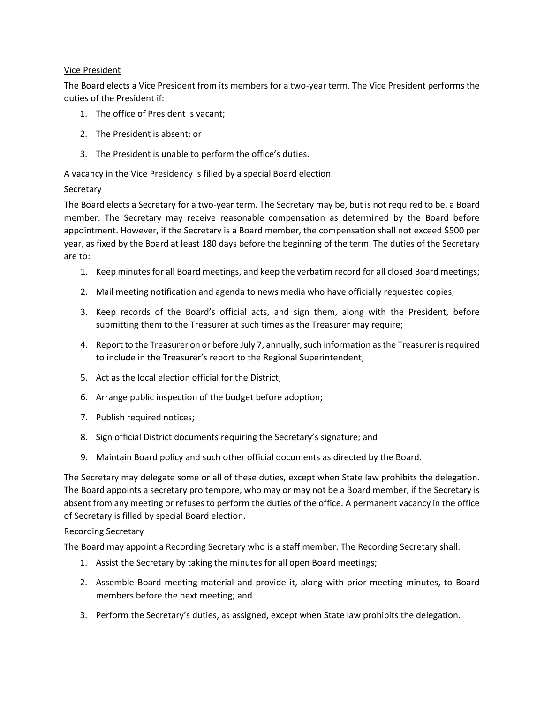## Vice President

The Board elects a Vice President from its members for a two-year term. The Vice President performs the duties of the President if:

- 1. The office of President is vacant;
- 2. The President is absent; or
- 3. The President is unable to perform the office's duties.

A vacancy in the Vice Presidency is filled by a special Board election.

### **Secretary**

The Board elects a Secretary for a two-year term. The Secretary may be, but is not required to be, a Board member. The Secretary may receive reasonable compensation as determined by the Board before appointment. However, if the Secretary is a Board member, the compensation shall not exceed \$500 per year, as fixed by the Board at least 180 days before the beginning of the term. The duties of the Secretary are to:

- 1. Keep minutes for all Board meetings, and keep the verbatim record for all closed Board meetings;
- 2. Mail meeting notification and agenda to news media who have officially requested copies;
- 3. Keep records of the Board's official acts, and sign them, along with the President, before submitting them to the Treasurer at such times as the Treasurer may require;
- 4. Report to the Treasurer on or before July 7, annually, such information as the Treasurer is required to include in the Treasurer's report to the Regional Superintendent;
- 5. Act as the local election official for the District;
- 6. Arrange public inspection of the budget before adoption;
- 7. Publish required notices;
- 8. Sign official District documents requiring the Secretary's signature; and
- 9. Maintain Board policy and such other official documents as directed by the Board.

The Secretary may delegate some or all of these duties, except when State law prohibits the delegation. The Board appoints a secretary pro tempore, who may or may not be a Board member, if the Secretary is absent from any meeting or refuses to perform the duties of the office. A permanent vacancy in the office of Secretary is filled by special Board election.

### Recording Secretary

The Board may appoint a Recording Secretary who is a staff member. The Recording Secretary shall:

- 1. Assist the Secretary by taking the minutes for all open Board meetings;
- 2. Assemble Board meeting material and provide it, along with prior meeting minutes, to Board members before the next meeting; and
- 3. Perform the Secretary's duties, as assigned, except when State law prohibits the delegation.